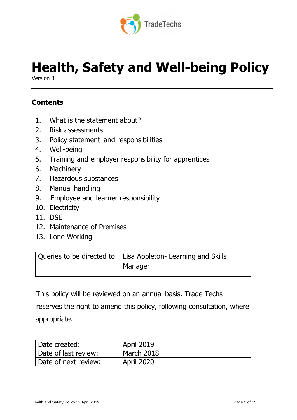

# **Health, Safety and Well-being Policy**

Version 3

## **Contents**

- 1. What is the statement about?
- 2. Risk assessments
- 3. Policy statement and responsibilities
- 4. Well-being
- 5. Training and employer responsibility for apprentices
- 6. Machinery
- 7. Hazardous substances
- 8. Manual handling
- 9. Employee and learner responsibility
- 10. Electricity
- 11. DSE
- 12. Maintenance of Premises
- 13. Lone Working

| Queries to be directed to:   Lisa Appleton- Learning and Skills |
|-----------------------------------------------------------------|
| Manager                                                         |
|                                                                 |

This policy will be reviewed on an annual basis. Trade Techs

 reserves the right to amend this policy, following consultation, where appropriate.

| Date created:        | <b>April 2019</b> |
|----------------------|-------------------|
| Date of last review: | March 2018        |
| Date of next review: | <b>April 2020</b> |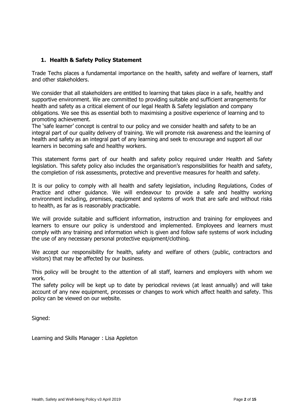## **1. Health & Safety Policy Statement**

Trade Techs places a fundamental importance on the health, safety and welfare of learners, staff and other stakeholders.

We consider that all stakeholders are entitled to learning that takes place in a safe, healthy and supportive environment. We are committed to providing suitable and sufficient arrangements for health and safety as a critical element of our legal Health & Safety legislation and company obligations. We see this as essential both to maximising a positive experience of learning and to promoting achievement.

The 'safe learner' concept is central to our policy and we consider health and safety to be an integral part of our quality delivery of training. We will promote risk awareness and the learning of health and safety as an integral part of any learning and seek to encourage and support all our learners in becoming safe and healthy workers.

This statement forms part of our health and safety policy required under Health and Safety legislation. This safety policy also includes the organisation's responsibilities for health and safety, the completion of risk assessments, protective and preventive measures for health and safety.

It is our policy to comply with all health and safety legislation, including Regulations, Codes of Practice and other guidance. We will endeavour to provide a safe and healthy working environment including, premises, equipment and systems of work that are safe and without risks to health, as far as is reasonably practicable.

We will provide suitable and sufficient information, instruction and training for employees and learners to ensure our policy is understood and implemented. Employees and learners must comply with any training and information which is given and follow safe systems of work including the use of any necessary personal protective equipment/clothing.

We accept our responsibility for health, safety and welfare of others (public, contractors and visitors) that may be affected by our business.

This policy will be brought to the attention of all staff, learners and employers with whom we work.

The safety policy will be kept up to date by periodical reviews (at least annually) and will take account of any new equipment, processes or changes to work which affect health and safety. This policy can be viewed on our website.

Signed:

Learning and Skills Manager : Lisa Appleton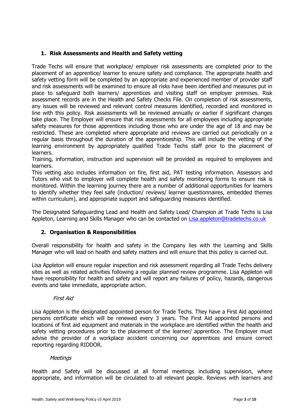## **1. Risk Assessments and Health and Safety vetting**

Trade Techs will ensure that workplace/ employer risk assessments are completed prior to the placement of an apprentice/ learner to ensure safety and compliance. The appropriate health and safety vetting form will be completed by an appropriate and experienced member of provider staff and risk assessments will be examined to ensure all risks have been identified and measures put in place to safeguard both learners/ apprentices and visiting staff on employer premises. Risk assessment records are in the Health and Safety Checks File. On completion of risk assessments, any issues will be reviewed and relevant control measures identified, recorded and monitored in line with this policy. Risk assessments will be reviewed annually or earlier if significant changes take place. The Employer will ensure that risk assessments for all employees including appropriate safety measures for those apprentices including those who are under the age of 18 and may be restricted. These are completed where appropriate and reviews are carried out periodically on a regular basis throughout the duration of the apprenticeship. This will include the vetting of the learning environment by appropriately qualified Trade Techs staff prior to the placement of learners.

Training, information, instruction and supervision will be provided as required to employees and learners.

This vetting also includes information on fire, first aid, PAT testing information. Assessors and Tutors who visit to employer will complete health and safety monitoring forms to ensure risk is monitored. Within the learning journey there are a number of additional opportunities for learners to identify whether they feel safe (induction/ reviews/ learner questionnaires, embedded themes within curriculum), and appropriate support and safeguarding measures identified.

The Designated Safeguarding Lead and Health and Safety Lead/ Champion at Trade Techs is Lisa Appleton, Learning and Skills Manager who can be contacted on [Lisa.appleton@tradetechs.co.uk](mailto:Lisa.appleton@tradetechs.co.uk)

## **2. Organisation & Responsibilities**

Overall responsibility for health and safety in the Company lies with the Learning and Skills Manager who will lead on health and safety matters and will ensure that this policy is carried out.

Lisa Appleton will ensure regular inspection and risk assessment regarding all Trade Techs delivery sites as well as related activities following a regular planned review programme. Lisa Appleton will have responsibility for health and safety and will report any failures of policy, hazards, dangerous events and take immediate, appropriate action.

## First Aid

Lisa Appleton is the designated appointed person for Trade Techs. They have a First Aid appointed persons certificate which will be renewed every 3 years. The First Aid appointed persons and locations of first aid equipment and materials in the workplace are identified within the health and safety vetting procedures prior to the placement of the learner/ apprentice. The Employer must advise the provider of a workplace accident concerning our apprentices and ensure correct reporting regarding RIDDOR.

## Meetings

Health and Safety will be discussed at all formal meetings including supervision, where appropriate, and information will be circulated to all relevant people. Reviews with learners and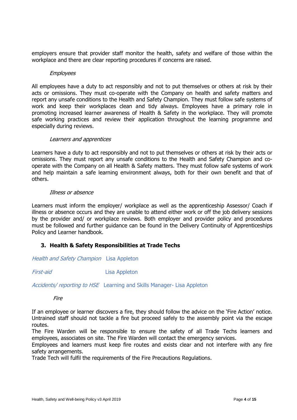employers ensure that provider staff monitor the health, safety and welfare of those within the workplace and there are clear reporting procedures if concerns are raised.

#### **Employees**

All employees have a duty to act responsibly and not to put themselves or others at risk by their acts or omissions. They must co-operate with the Company on health and safety matters and report any unsafe conditions to the Health and Safety Champion. They must follow safe systems of work and keep their workplaces clean and tidy always. Employees have a primary role in promoting increased learner awareness of Health & Safety in the workplace. They will promote safe working practices and review their application throughout the learning programme and especially during reviews.

#### Learners and apprentices

Learners have a duty to act responsibly and not to put themselves or others at risk by their acts or omissions. They must report any unsafe conditions to the Health and Safety Champion and cooperate with the Company on all Health & Safety matters. They must follow safe systems of work and help maintain a safe learning environment always, both for their own benefit and that of others.

#### Illness or absence

Learners must inform the employer/ workplace as well as the apprenticeship Assessor/ Coach if illness or absence occurs and they are unable to attend either work or off the job delivery sessions by the provider and/ or workplace reviews. Both employer and provider policy and procedures must be followed and further guidance can be found in the Delivery Continuity of Apprenticeships Policy and Learner handbook.

## **3. Health & Safety Responsibilities at Trade Techs**

Health and Safety Champion Lisa Appleton

First-aid Lisa Appleton

Accidents/ reporting to HSE Learning and Skills Manager- Lisa Appleton

Fire

If an employee or learner discovers a fire, they should follow the advice on the 'Fire Action' notice. Untrained staff should not tackle a fire but proceed safely to the assembly point via the escape routes.

The Fire Warden will be responsible to ensure the safety of all Trade Techs learners and employees, associates on site. The Fire Warden will contact the emergency services.

Employees and learners must keep fire routes and exists clear and not interfere with any fire safety arrangements.

Trade Tech will fulfil the requirements of the Fire Precautions Regulations.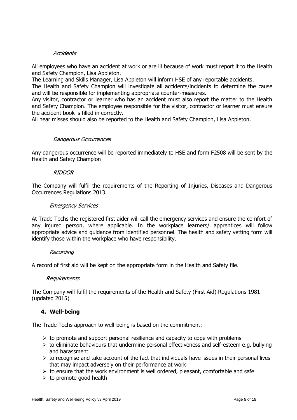## **Accidents**

All employees who have an accident at work or are ill because of work must report it to the Health and Safety Champion, Lisa Appleton.

The Learning and Skills Manager, Lisa Appleton will inform HSE of any reportable accidents.

The Health and Safety Champion will investigate all accidents/incidents to determine the cause and will be responsible for implementing appropriate counter-measures.

Any visitor, contractor or learner who has an accident must also report the matter to the Health and Safety Champion. The employee responsible for the visitor, contractor or learner must ensure the accident book is filled in correctly.

All near misses should also be reported to the Health and Safety Champion, Lisa Appleton.

## Dangerous Occurrences

Any dangerous occurrence will be reported immediately to HSE and form F2508 will be sent by the Health and Safety Champion

## RIDDOR

The Company will fulfil the requirements of the Reporting of Injuries, Diseases and Dangerous Occurrences Regulations 2013.

## Emergency Services

At Trade Techs the registered first aider will call the emergency services and ensure the comfort of any injured person, where applicable. In the workplace learners/ apprentices will follow appropriate advice and guidance from identified personnel. The health and safety vetting form will identify those within the workplace who have responsibility.

## Recording

A record of first aid will be kept on the appropriate form in the Health and Safety file.

## Requirements

The Company will fulfil the requirements of the Health and Safety (First Aid) Regulations 1981 (updated 2015)

## **4. Well-being**

The Trade Techs approach to well-being is based on the commitment:

- $\triangleright$  to promote and support personal resilience and capacity to cope with problems
- $\triangleright$  to eliminate behaviours that undermine personal effectiveness and self-esteem e.g. bullying and harassment
- $\triangleright$  to recognise and take account of the fact that individuals have issues in their personal lives that may impact adversely on their performance at work
- $\triangleright$  to ensure that the work environment is well ordered, pleasant, comfortable and safe
- $\triangleright$  to promote good health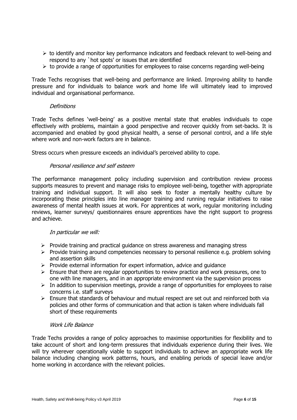- $\triangleright$  to identify and monitor key performance indicators and feedback relevant to well-being and respond to any `hot spots' or issues that are identified
- $\triangleright$  to provide a range of opportunities for employees to raise concerns regarding well-being

Trade Techs recognises that well-being and performance are linked. Improving ability to handle pressure and for individuals to balance work and home life will ultimately lead to improved individual and organisational performance.

## **Definitions**

Trade Techs defines 'well-being' as a positive mental state that enables individuals to cope effectively with problems, maintain a good perspective and recover quickly from set-backs. It is accompanied and enabled by good physical health, a sense of personal control, and a life style where work and non-work factors are in balance.

Stress occurs when pressure exceeds an individual's perceived ability to cope.

## Personal resilience and self esteem

The performance management policy including supervision and contribution review process supports measures to prevent and manage risks to employee well-being, together with appropriate training and individual support. It will also seek to foster a mentally healthy culture by incorporating these principles into line manager training and running regular initiatives to raise awareness of mental health issues at work. For apprentices at work, regular monitoring including reviews, learner surveys/ questionnaires ensure apprentices have the right support to progress and achieve.

## In particular we will:

- $\triangleright$  Provide training and practical guidance on stress awareness and managing stress
- $\triangleright$  Provide training around competencies necessary to personal resilience e.g. problem solving and assertion skills
- $\triangleright$  Provide external information for expert information, advice and quidance
- $\triangleright$  Ensure that there are regular opportunities to review practice and work pressures, one to one with line managers, and in an appropriate environment via the supervision process
- $\triangleright$  In addition to supervision meetings, provide a range of opportunities for employees to raise concerns i.e. staff surveys
- $\triangleright$  Ensure that standards of behaviour and mutual respect are set out and reinforced both via policies and other forms of communication and that action is taken where individuals fall short of these requirements

## Work Life Balance

Trade Techs provides a range of policy approaches to maximise opportunities for flexibility and to take account of short and long-term pressures that individuals experience during their lives. We will try wherever operationally viable to support individuals to achieve an appropriate work life balance including changing work patterns, hours, and enabling periods of special leave and/or home working in accordance with the relevant policies.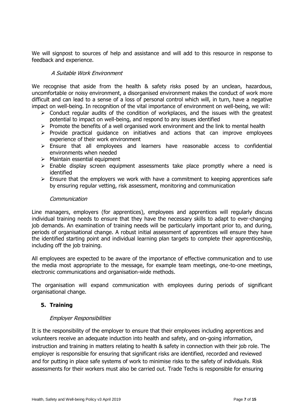We will signpost to sources of help and assistance and will add to this resource in response to feedback and experience.

## A Suitable Work Environment

We recognise that aside from the health & safety risks posed by an unclean, hazardous, uncomfortable or noisy environment, a disorganised environment makes the conduct of work more difficult and can lead to a sense of a loss of personal control which will, in turn, have a negative impact on well-being. In recognition of the vital importance of environment on well-being, we will:

- $\triangleright$  Conduct regular audits of the condition of workplaces, and the issues with the greatest potential to impact on well-being, and respond to any issues identified
- $\triangleright$  Promote the benefits of a well organised work environment and the link to mental health
- $\triangleright$  Provide practical quidance on initiatives and actions that can improve employees experience of their work environment
- ➢ Ensure that all employees and learners have reasonable access to confidential environments when needed
- $\triangleright$  Maintain essential equipment
- ➢ Enable display screen equipment assessments take place promptly where a need is identified
- $\triangleright$  Ensure that the employers we work with have a commitment to keeping apprentices safe by ensuring regular vetting, risk assessment, monitoring and communication

#### **Communication**

Line managers, employers (for apprentices), employees and apprentices will regularly discuss individual training needs to ensure that they have the necessary skills to adapt to ever-changing job demands. An examination of training needs will be particularly important prior to, and during, periods of organisational change. A robust initial assessment of apprentices will ensure they have the identified starting point and individual learning plan targets to complete their apprenticeship, including off the job training.

All employees are expected to be aware of the importance of effective communication and to use the media most appropriate to the message, for example team meetings, one-to-one meetings, electronic communications and organisation-wide methods.

The organisation will expand communication with employees during periods of significant organisational change.

## **5. Training**

## Employer Responsibilities

It is the responsibility of the employer to ensure that their employees including apprentices and volunteers receive an adequate induction into health and safety, and on-going information, instruction and training in matters relating to health & safety in connection with their job role. The employer is responsible for ensuring that significant risks are identified, recorded and reviewed and for putting in place safe systems of work to minimise risks to the safety of individuals. Risk assessments for their workers must also be carried out. Trade Techs is responsible for ensuring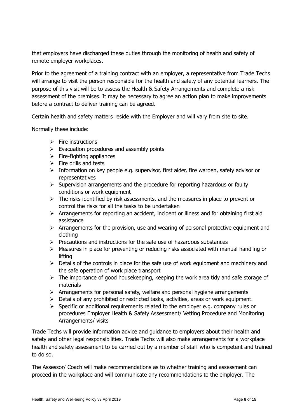that employers have discharged these duties through the monitoring of health and safety of remote employer workplaces.

Prior to the agreement of a training contract with an employer, a representative from Trade Techs will arrange to visit the person responsible for the health and safety of any potential learners. The purpose of this visit will be to assess the Health & Safety Arrangements and complete a risk assessment of the premises. It may be necessary to agree an action plan to make improvements before a contract to deliver training can be agreed.

Certain health and safety matters reside with the Employer and will vary from site to site.

Normally these include:

- $\triangleright$  Fire instructions
- $\triangleright$  Evacuation procedures and assembly points
- $\triangleright$  Fire-fighting appliances
- $\triangleright$  Fire drills and tests
- ➢ Information on key people e.g. supervisor, first aider, fire warden, safety advisor or representatives
- $\triangleright$  Supervision arrangements and the procedure for reporting hazardous or faulty conditions or work equipment
- $\triangleright$  The risks identified by risk assessments, and the measures in place to prevent or control the risks for all the tasks to be undertaken
- ➢ Arrangements for reporting an accident, incident or illness and for obtaining first aid assistance
- $\triangleright$  Arrangements for the provision, use and wearing of personal protective equipment and clothing
- ➢ Precautions and instructions for the safe use of hazardous substances
- $\triangleright$  Measures in place for preventing or reducing risks associated with manual handling or lifting
- $\triangleright$  Details of the controls in place for the safe use of work equipment and machinery and the safe operation of work place transport
- $\triangleright$  The importance of good housekeeping, keeping the work area tidy and safe storage of materials
- $\triangleright$  Arrangements for personal safety, welfare and personal hygiene arrangements
- $\triangleright$  Details of any prohibited or restricted tasks, activities, areas or work equipment.
- $\triangleright$  Specific or additional requirements related to the employer e.g. company rules or procedures Employer Health & Safety Assessment/ Vetting Procedure and Monitoring Arrangements/ visits

Trade Techs will provide information advice and guidance to employers about their health and safety and other legal responsibilities. Trade Techs will also make arrangements for a workplace health and safety assessment to be carried out by a member of staff who is competent and trained to do so.

The Assessor/ Coach will make recommendations as to whether training and assessment can proceed in the workplace and will communicate any recommendations to the employer. The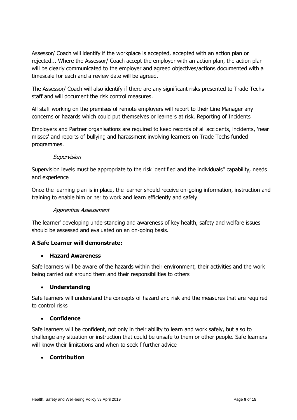Assessor/ Coach will identify if the workplace is accepted, accepted with an action plan or rejected... Where the Assessor/ Coach accept the employer with an action plan, the action plan will be clearly communicated to the employer and agreed objectives/actions documented with a timescale for each and a review date will be agreed.

The Assessor/ Coach will also identify if there are any significant risks presented to Trade Techs staff and will document the risk control measures.

All staff working on the premises of remote employers will report to their Line Manager any concerns or hazards which could put themselves or learners at risk. Reporting of Incidents

Employers and Partner organisations are required to keep records of all accidents, incidents, 'near misses' and reports of bullying and harassment involving learners on Trade Techs funded programmes.

## Supervision

Supervision levels must be appropriate to the risk identified and the individuals" capability, needs and experience

Once the learning plan is in place, the learner should receive on-going information, instruction and training to enable him or her to work and learn efficiently and safely

## Apprentice Assessment

The learner' developing understanding and awareness of key health, safety and welfare issues should be assessed and evaluated on an on-going basis.

## **A Safe Learner will demonstrate:**

## • **Hazard Awareness**

Safe learners will be aware of the hazards within their environment, their activities and the work being carried out around them and their responsibilities to others

## • **Understanding**

Safe learners will understand the concepts of hazard and risk and the measures that are required to control risks

## • **Confidence**

Safe learners will be confident, not only in their ability to learn and work safely, but also to challenge any situation or instruction that could be unsafe to them or other people. Safe learners will know their limitations and when to seek f further advice

## • **Contribution**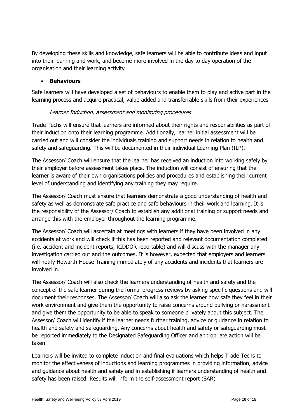By developing these skills and knowledge, safe learners will be able to contribute ideas and input into their learning and work, and become more involved in the day to day operation of the organisation and their learning activity

## • **Behaviours**

Safe learners will have developed a set of behaviours to enable them to play and active part in the learning process and acquire practical, value added and transferrable skills from their experiences

## Learner Induction, assessment and monitoring procedures

Trade Techs will ensure that learners are informed about their rights and responsibilities as part of their induction onto their learning programme. Additionally, learner initial assessment will be carried out and will consider the individuals training and support needs in relation to health and safety and safeguarding. This will be documented in their individual Learning Plan (ILP).

The Assessor/ Coach will ensure that the learner has received an induction into working safely by their employer before assessment takes place. The induction will consist of ensuring that the learner is aware of their own organisations policies and procedures and establishing their current level of understanding and identifying any training they may require.

The Assessor/ Coach must ensure that learners demonstrate a good understanding of health and safety as well as demonstrate safe practice and safe behaviours in their work and learning. It is the responsibility of the Assessor/ Coach to establish any additional training or support needs and arrange this with the employer throughout the learning programme.

The Assessor/ Coach will ascertain at meetings with learners if they have been involved in any accidents at work and will check if this has been reported and relevant documentation completed (i.e. accident and incident reports, RIDDOR reportable) and will discuss with the manager any investigation carried out and the outcomes. It is however, expected that employers and learners will notify Howarth House Training immediately of any accidents and incidents that learners are involved in.

The Assessor/ Coach will also check the learners understanding of health and safety and the concept of the safe learner during the formal progress reviews by asking specific questions and will document their responses. The Assessor/ Coach will also ask the learner how safe they feel in their work environment and give them the opportunity to raise concerns around bullying or harassment and give them the opportunity to be able to speak to someone privately about this subject. The Assessor/ Coach will identify if the learner needs further training, advice or guidance in relation to health and safety and safeguarding. Any concerns about health and safety or safeguarding must be reported immediately to the Designated Safeguarding Officer and appropriate action will be taken.

Learners will be invited to complete induction and final evaluations which helps Trade Techs to monitor the effectiveness of inductions and learning programmes in providing information, advice and guidance about health and safety and in establishing if learners understanding of health and safety has been raised. Results will inform the self-assessment report (SAR)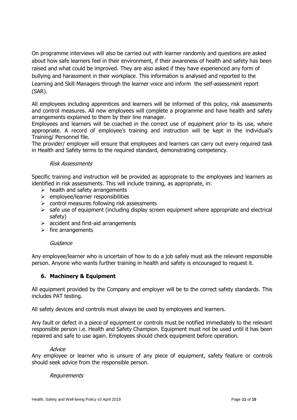On programme interviews will also be carried out with learner randomly and questions are asked about how safe learners feel in their environment, if their awareness of health and safety has been raised and what could be improved. They are also asked if they have experienced any form of bullying and harassment in their workplace. This information is analysed and reported to the Learning and Skill Managers through the learner voice and inform the self-assessment report (SAR).

All employees including apprentices and learners will be informed of this policy, risk assessments and control measures. All new employees will complete a programme and have health and safety arrangements explained to them by their line manager.

Employees and learners will be coached in the correct use of equipment prior to its use, where appropriate. A record of employee's training and instruction will be kept in the individual's Training/ Personnel file.

The provider/ employer will ensure that employees and learners can carry out every required task in Health and Safety terms to the required standard, demonstrating competency.

## Risk Assessments

Specific training and instruction will be provided as appropriate to the employees and learners as identified in risk assessments. This will include training, as appropriate, in:

- $\triangleright$  health and safety arrangements
- ➢ employee/learner responsibilities
- $\triangleright$  control measures following risk assessments
- $\triangleright$  safe use of equipment (including display screen equipment where appropriate and electrical safety)
- $\triangleright$  accident and first-aid arrangements
- $\triangleright$  fire arrangements

## Guidance

Any employee/learner who is uncertain of how to do a job safely must ask the relevant responsible person. Anyone who wants further training in health and safety is encouraged to request it.

## **6. Machinery & Equipment**

All equipment provided by the Company and employer will be to the correct safety standards. This includes PAT testing.

All safety devices and controls must always be used by employees and learners.

Any fault or defect in a piece of equipment or controls must be notified immediately to the relevant responsible person i.e. Health and Safety Champion. Equipment must not be used until it has been repaired and safe to use again. Employees should check equipment before operation.

#### **Advice**

Any employee or learner who is unsure of any piece of equipment, safety feature or controls should seek advice from the responsible person.

## Requirements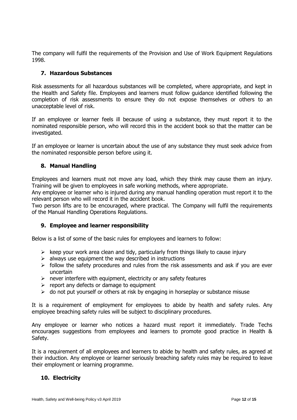The company will fulfil the requirements of the Provision and Use of Work Equipment Regulations 1998.

## **7. Hazardous Substances**

Risk assessments for all hazardous substances will be completed, where appropriate, and kept in the Health and Safety file. Employees and learners must follow guidance identified following the completion of risk assessments to ensure they do not expose themselves or others to an unacceptable level of risk.

If an employee or learner feels ill because of using a substance, they must report it to the nominated responsible person, who will record this in the accident book so that the matter can be investigated.

If an employee or learner is uncertain about the use of any substance they must seek advice from the nominated responsible person before using it.

## **8. Manual Handling**

Employees and learners must not move any load, which they think may cause them an injury. Training will be given to employees in safe working methods, where appropriate.

Any employee or learner who is injured during any manual handling operation must report it to the relevant person who will record it in the accident book.

Two person lifts are to be encouraged, where practical. The Company will fulfil the requirements of the Manual Handling Operations Regulations.

## **9. Employee and learner responsibility**

Below is a list of some of the basic rules for employees and learners to follow:

- $\triangleright$  keep your work area clean and tidy, particularly from things likely to cause injury
- $\triangleright$  always use equipment the way described in instructions
- $\triangleright$  follow the safety procedures and rules from the risk assessments and ask if you are ever uncertain
- $\triangleright$  never interfere with equipment, electricity or any safety features
- $\triangleright$  report any defects or damage to equipment
- $\triangleright$  do not put yourself or others at risk by engaging in horseplay or substance misuse

It is a requirement of employment for employees to abide by health and safety rules. Any employee breaching safety rules will be subject to disciplinary procedures.

Any employee or learner who notices a hazard must report it immediately. Trade Techs encourages suggestions from employees and learners to promote good practice in Health & Safety.

It is a requirement of all employees and learners to abide by health and safety rules, as agreed at their induction. Any employee or learner seriously breaching safety rules may be required to leave their employment or learning programme.

## **10. Electricity**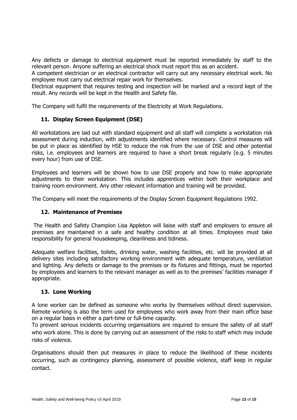Any defects or damage to electrical equipment must be reported immediately by staff to the relevant person. Anyone suffering an electrical shock must report this as an accident.

A competent electrician or an electrical contractor will carry out any necessary electrical work. No employee must carry out electrical repair work for themselves.

Electrical equipment that requires testing and inspection will be marked and a record kept of the result. Any records will be kept in the Health and Safety file.

The Company will fulfil the requirements of the Electricity at Work Regulations.

## **11. Display Screen Equipment (DSE)**

All workstations are laid out with standard equipment and all staff will complete a workstation risk assessment during induction, with adjustments identified where necessary. Control measures will be put in place as identified by HSE to reduce the risk from the use of DSE and other potential risks, i.e. employees and learners are required to have a short break regularly (e.g. 5 minutes every hour) from use of DSE.

Employees and learners will be shown how to use DSE properly and how to make appropriate adjustments to their workstation. This includes apprentices within both their workplace and training room environment. Any other relevant information and training will be provided.

The Company will meet the requirements of the Display Screen Equipment Regulations 1992.

## **12. Maintenance of Premises**

The Health and Safety Champion Lisa Appleton will liaise with staff and employers to ensure all premises are maintained in a safe and healthy condition at all times. Employees must take responsibility for general housekeeping, cleanliness and tidiness.

Adequate welfare facilities, toilets, drinking water, washing facilities, etc. will be provided at all delivery sites including satisfactory working environment with adequate temperature, ventilation and lighting. Any defects or damage to the premises or its fixtures and fittings, must be reported by employees and learners to the relevant manager as well as to the premises' facilities manager if appropriate.

## **13. Lone Working**

A lone worker can be defined as someone who works by themselves without direct supervision. Remote working is also the term used for employees who work away from their main office base on a regular basis in either a part-time or full-time capacity.

To prevent serious incidents occurring organisations are required to ensure the safety of all staff who work alone. This is done by carrying out an assessment of the risks to staff which may include risks of violence.

Organisations should then put measures in place to reduce the likelihood of these incidents occurring, such as contingency planning, assessment of possible violence, staff keep in regular contact.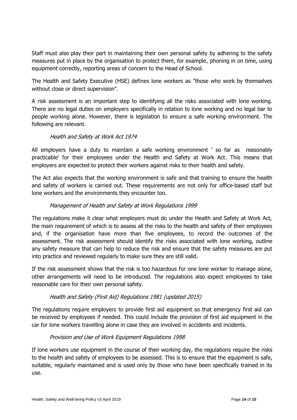Staff must also play their part in maintaining their own personal safety by adhering to the safety measures put in place by the organisation to protect them, for example, phoning in on time, using equipment correctly, reporting areas of concern to the Head of School.

The Health and Safety Executive (HSE) defines lone workers as "those who work by themselves without close or direct supervision".

A risk assessment is an important step to identifying all the risks associated with lone working. There are no legal duties on employers specifically in relation to lone working and no legal bar to people working alone. However, there is legislation to ensure a safe working environment. The following are relevant.

## Health and Safety at Work Act 1974

All employers have a duty to maintain a safe working environment ' so far as reasonably practicable' for their employees under the Health and Safety at Work Act. This means that employers are expected to protect their workers against risks to their health and safety.

The Act also expects that the working environment is safe and that training to ensure the health and safety of workers is carried out. These requirements are not only for office-based staff but lone workers and the environments they encounter too.

## Management of Health and Safety at Work Regulations 1999

The regulations make it clear what employers must do under the Health and Safety at Work Act, the main requirement of which is to assess all the risks to the health and safety of their employees and, if the organisation have more than five employees, to record the outcomes of the assessment. The risk assessment should identify the risks associated with lone working, outline any safety measure that can help to reduce the risk and ensure that the safety measures are put into practice and reviewed regularly to make sure they are still valid.

If the risk assessment shows that the risk is too hazardous for one lone worker to manage alone, other arrangements will need to be introduced. The regulations also expect employees to take reasonable care for their own personal safety.

## Health and Safety (First Aid) Regulations 1981 (updated 2015)

The regulations require employers to provide first aid equipment so that emergency first aid can be received by employees if needed. This could include the provision of first aid equipment in the car for lone workers travelling alone in case they are involved in accidents and incidents.

## Provision and Use of Work Equipment Regulations 1998

If lone workers use equipment in the course of their working day, the regulations require the risks to the health and safety of employees to be assessed. This is to ensure that the equipment is safe, suitable, regularly maintained and is used only by those who have been specifically trained in its use.